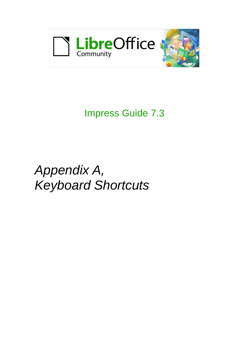

# Impress Guide 7.3

# *Appendix A, Keyboard Shortcuts*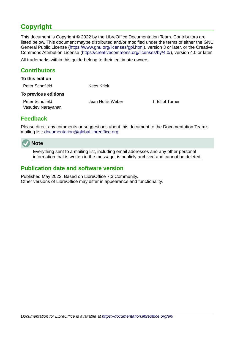# <span id="page-1-3"></span>**Copyright**

This document is Copyright © 2022 by the LibreOffice Documentation Team. Contributors are listed below. This document maybe distributed and/or modified under the terms of either the GNU General Public License (<https://www.gnu.org/licenses/gpl.html>), version 3 or later, or the Creative Commons Attribution License (<https://creativecommons.org/licenses/by/4.0/>), version 4.0 or later.

All trademarks within this guide belong to their legitimate owners.

#### <span id="page-1-2"></span>**Contributors**

| To this edition                      |                   |                  |
|--------------------------------------|-------------------|------------------|
| Peter Schofield                      | Kees Kriek        |                  |
| To previous editions                 |                   |                  |
| Peter Schofield<br>Vasudev Narayanan | Jean Hollis Weber | T. Elliot Turner |

#### <span id="page-1-1"></span>**Feedback**

Please direct any comments or suggestions about this document to the Documentation Team's mailing list: [documentation@global.libreoffice.org](mailto:documentation@global.libreoffice.org)



Everything sent to a mailing list, including email addresses and any other personal information that is written in the message, is publicly archived and cannot be deleted.

#### <span id="page-1-0"></span>**Publication date and software version**

Published May 2022. Based on LibreOffice 7.3 Community. Other versions of LibreOffice may differ in appearance and functionality.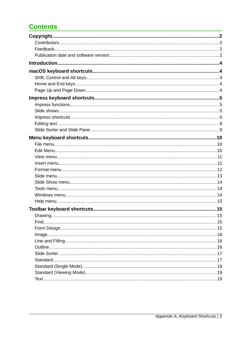# **Contents**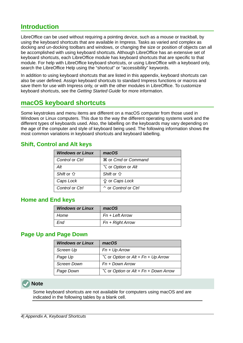## <span id="page-3-4"></span>**Introduction**

LibreOffice can be used without requiring a pointing device, such as a mouse or trackball, by using the keyboard shortcuts that are available in Impress. Tasks as varied and complex as docking and un-docking toolbars and windows, or changing the size or position of objects can all be accomplished with using keyboard shortcuts. Although LibreOffice has an extensive set of keyboard shortcuts, each LibreOffice module has keyboard shortcuts that are specific to that module. For help with LibreOffice keyboard shortcuts, or using LibreOffice with a keyboard only, search the LibreOffice Help using the "shortcut" or "accessibility" keywords.

In addition to using keyboard shortcuts that are listed in this appendix, keyboard shortcuts can also be user defined. Assign keyboard shortcuts to standard Impress functions or macros and save them for use with Impress only, or with the other modules in LibreOffice. To customize keyboard shortcuts, see the *Getting Started Guide* for more information.

#### <span id="page-3-3"></span>**macOS keyboard shortcuts**

Some keystrokes and menu items are different on a macOS computer from those used in Windows or Linux computers. This due to the way the different operating systems work and the different types of keyboards used. Also, the labelling on the keyboards may vary depending on the age of the computer and style of keyboard being used. The following information shows the most common variations in keyboard shortcuts and keyboard labelling.

#### <span id="page-3-2"></span>**Shift, Control and Alt keys**

| <b>Windows or Linux</b> | macOS                                 |
|-------------------------|---------------------------------------|
| Control or Ctrl         | <b>\%</b> or Cmd or Command           |
| Alt                     | $\tau$ or <i>Option</i> or <i>Alt</i> |
| Shift or $\hat{U}$      | Shift or $\hat{U}$                    |
| Caps Lock               | <b>≙ or Caps Lock</b>                 |
| Control or Ctrl         | $\hat{\ }$ or Control or Ctrl         |

#### <span id="page-3-1"></span>**Home and End keys**

| <b>Windows or Linux</b> | macOS              |
|-------------------------|--------------------|
| Home                    | Fn + Left Arrow    |
| End                     | $Fn + Right Arrow$ |

#### <span id="page-3-0"></span>**Page Up and Page Down**

| <b>Windows or Linux</b> | macOS                                     |
|-------------------------|-------------------------------------------|
| Screen Up               | $Fn + Up Arrow$                           |
| Page Up                 | $\sum$ or Option or Alt + Fn + Up Arrow   |
| Screen Down             | Fn + Down Arrow                           |
| Page Down               | $\sum$ or Option or Alt + Fn + Down Arrow |

## **Note**

Some keyboard shortcuts are not available for computers using macOS and are indicated in the following tables by a blank cell.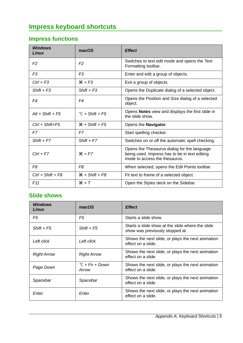# <span id="page-4-2"></span>**Impress keyboard shortcuts**

# <span id="page-4-1"></span>**Impress functions**

| <b>Windows</b><br>Linux | macOS                      | <b>Effect</b>                                                                                                                 |
|-------------------------|----------------------------|-------------------------------------------------------------------------------------------------------------------------------|
| F <sub>2</sub>          | F <sub>2</sub>             | Switches to text edit mode and opens the Text<br>Formatting toolbar.                                                          |
| F <sub>3</sub>          | F <sub>3</sub>             | Enter and edit a group of objects.                                                                                            |
| $Ctrl + F3$             | $# + F3$                   | Exit a group of objects.                                                                                                      |
| $Shift + F3$            | $Shift + F3$               | Opens the Duplicate dialog of a selected object.                                                                              |
| F4                      | F4                         | Opens the Position and Size dialog of a selected<br>object.                                                                   |
| $Alt + Shift + FS$      | $\Upsilon$ + Shift + F5    | Opens Notes view and displays the first slide in<br>the slide show.                                                           |
| $Ctrl + Shift + F5$     | $\mathcal{H}$ + Shift + F5 | Opens the Navigator.                                                                                                          |
| F7                      | F7                         | Start spelling checker.                                                                                                       |
| $Shift + F7$            | $Shift + F7$               | Switches on or off the automatic spell checking.                                                                              |
| $Ctrl + F7$             | $# + F7$                   | Opens the Thesaurus dialog for the language<br>being used. Impress has to be in text editing<br>mode to access the thesaurus. |
| F8                      | F <sub>8</sub>             | When selected, opens the Edit Points toolbar.                                                                                 |
| $Ctrl + Shift + F8$     | $\mathcal{H}$ + Shift + F8 | Fit text to frame of a selected object.                                                                                       |
| F11                     | $H + T$                    | Open the Styles deck on the Sidebar.                                                                                          |

## <span id="page-4-0"></span>**Slide shows**

| <b>Windows</b><br>Linux | macOS                    | <b>Effect</b>                                                                       |
|-------------------------|--------------------------|-------------------------------------------------------------------------------------|
| F5                      | F5                       | Starts a slide show.                                                                |
| $Shift + F5$            | $Shift + F5$             | Starts a slide show at the slide where the slide<br>show was previously stopped at. |
| Left click              | Left click               | Shows the next slide, or plays the next animation<br>effect on a slide.             |
| <b>Right Arrow</b>      | <b>Right Arrow</b>       | Shows the next slide, or plays the next animation<br>effect on a slide.             |
| Page Down               | $T + Fn + Down$<br>Arrow | Shows the next slide, or plays the next animation<br>effect on a slide.             |
| Spacebar                | Spacebar                 | Shows the next slide, or plays the next animation<br>effect on a slide.             |
| Enter                   | Enter                    | Shows the next slide, or plays the next animation<br>effect on a slide.             |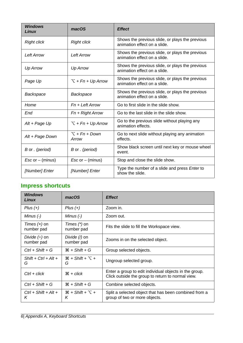| <b>Windows</b><br>Linux       | macOS                    | <b>Effect</b>                                                                   |
|-------------------------------|--------------------------|---------------------------------------------------------------------------------|
| <b>Right click</b>            | <b>Right click</b>       | Shows the previous slide, or plays the previous<br>animation effect on a slide. |
| Left Arrow                    | Left Arrow               | Shows the previous slide, or plays the previous<br>animation effect on a slide. |
| <b>Up Arrow</b>               | <b>Up Arrow</b>          | Shows the previous slide, or plays the previous<br>animation effect on a slide. |
| Page Up                       | $\Gamma$ + Fn + Up Arrow | Shows the previous slide, or plays the previous<br>animation effect on a slide. |
| Backspace                     | Backspace                | Shows the previous slide, or plays the previous<br>animation effect on a slide. |
| Home                          | $Fn + Left Arrow$        | Go to first slide in the slide show.                                            |
| End                           | $Fn + Right Arrow$       | Go to the last slide in the slide show.                                         |
| Alt + Page Up                 | $\Gamma$ + Fn + Up Arrow | Go to the previous slide without playing any<br>animation effects.              |
| Alt + Page Down               | $T + Fn + Down$<br>Arrow | Go to next slide without playing any animation<br>effects.                      |
| B or . (period)               | B or . (period)          | Show black screen until next key or mouse wheel<br>event.                       |
| $\mathsf{Esc}$ or $-$ (minus) | $Esc$ or $-$ (minus)     | Stop and close the slide show.                                                  |
| [Number] Enter                | [Number] Enter           | Type the number of a slide and press Enter to<br>show the slide.                |

# <span id="page-5-0"></span>**Impress shortcuts**

| <b>Windows</b><br>Linux          | macOS                                     | <b>Effect</b>                                                                                               |
|----------------------------------|-------------------------------------------|-------------------------------------------------------------------------------------------------------------|
| $Plus (+)$                       | $Plus (+)$                                | Zoom in.                                                                                                    |
| Minus $(-)$                      | Minus $(-)$                               | Zoom out.                                                                                                   |
| Times $(x)$ on<br>number pad     | Times $(*)$ on<br>number pad              | Fits the slide to fill the Workspace view.                                                                  |
| Divide $(\div)$ on<br>number pad | Divide (/) on<br>number pad               | Zooms in on the selected object.                                                                            |
| $Ctrl + Shift + G$               | $H + Shift + G$                           | Group selected objects.                                                                                     |
| $Shift + Crit + Alt +$<br>G      | $\mathcal{H}$ + Shift + $\Upsilon$ +<br>G | Ungroup selected group.                                                                                     |
| $Ctrl + click$                   | $\mathcal{H}$ + $click$                   | Enter a group to edit individual objects in the group.<br>Click outside the group to return to normal view. |
| $Ctrl + Shift + G$               | $\mathcal{H}$ + Shift + G                 | Combine selected objects.                                                                                   |
| $Ctrl + Shift + Alt +$<br>Κ      | $\mathcal{H}$ + Shift + $\Upsilon$ +<br>Κ | Split a selected object that has been combined from a<br>group of two or more objects.                      |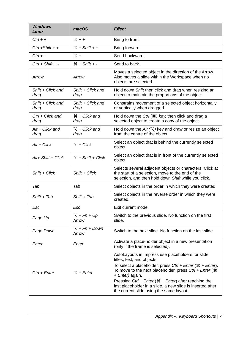| <b>Windows</b><br>Linux   | macOS                             | <b>Effect</b>                                                                                                                                                                                                                                                                                                                                                                                                                   |
|---------------------------|-----------------------------------|---------------------------------------------------------------------------------------------------------------------------------------------------------------------------------------------------------------------------------------------------------------------------------------------------------------------------------------------------------------------------------------------------------------------------------|
| $Ctrl + +$                | $* + 1$                           | Bring to front.                                                                                                                                                                                                                                                                                                                                                                                                                 |
| $Ctrl + Shift + +$        | $\mathcal{H}$ + Shift + +         | Bring forward.                                                                                                                                                                                                                                                                                                                                                                                                                  |
| $Ctrl + -$                | $# + -$                           | Send backward.                                                                                                                                                                                                                                                                                                                                                                                                                  |
| $Ctrl + Shift + -$        | $*$ + Shift + -                   | Send to back.                                                                                                                                                                                                                                                                                                                                                                                                                   |
| Arrow                     | Arrow                             | Moves a selected object in the direction of the Arrow.<br>Also moves a slide within the Workspace when no<br>objects are selected.                                                                                                                                                                                                                                                                                              |
| Shift + Click and<br>drag | Shift + Click and<br>drag         | Hold down Shift then click and drag when resizing an<br>object to maintain the proportions of the object.                                                                                                                                                                                                                                                                                                                       |
| Shift + Click and<br>drag | Shift + Click and<br>drag         | Constrains movement of a selected object horizontally<br>or vertically when dragged.                                                                                                                                                                                                                                                                                                                                            |
| Ctrl + Click and<br>drag  | $\mathcal{H}$ + Click and<br>drag | Hold down the Ctrl $(\mathcal{H})$ key, then click and drag a<br>selected object to create a copy of the object.                                                                                                                                                                                                                                                                                                                |
| $Alt + Click$ and<br>drag | $\Upsilon$ + Click and<br>drag    | Hold down the Alt $(\nabla)$ key and draw or resize an object<br>from the centre of the object.                                                                                                                                                                                                                                                                                                                                 |
| $Alt + Click$             | $\tau$ + Click                    | Select an object that is behind the currently selected<br>object.                                                                                                                                                                                                                                                                                                                                                               |
| $Alt+Shift+Click$         | $\Upsilon$ + Shift + Click        | Select an object that is in front of the currently selected<br>object.                                                                                                                                                                                                                                                                                                                                                          |
| $Shift + Click$           | $Shift + Click$                   | Selects several adjacent objects or characters. Click at<br>the start of a selection, move to the end of the<br>selection, and then hold down Shift while you click.                                                                                                                                                                                                                                                            |
| Tab                       | Tab                               | Select objects in the order in which they were created.                                                                                                                                                                                                                                                                                                                                                                         |
| $Shift + Tab$             | $Shift + Tab$                     | Select objects in the reverse order in which they were<br>created.                                                                                                                                                                                                                                                                                                                                                              |
| Esc                       | Esc                               | Exit current mode.                                                                                                                                                                                                                                                                                                                                                                                                              |
| Page Up                   | $T + Fn + Up$<br>Arrow            | Switch to the previous slide. No function on the first<br>slide.                                                                                                                                                                                                                                                                                                                                                                |
| Page Down                 | $T + Fn + Down$<br>Arrow          | Switch to the next slide. No function on the last slide.                                                                                                                                                                                                                                                                                                                                                                        |
| Enter                     | Enter                             | Activate a place-holder object in a new presentation<br>(only if the frame is selected).                                                                                                                                                                                                                                                                                                                                        |
| Ctrl + Enter              | $\mathcal{H}$ + Enter             | AutoLayouts in Impress use placeholders for slide<br>titles, text, and objects.<br>To select a placeholder, press $Ctrl + Enter$ ( $\mathcal{H}$ + Enter).<br>To move to the next placeholder, press $Ctrl + Enter$ ( $\Re$<br>+ Enter) again.<br>Pressing $Ctrl + Enter$ ( $\mathcal{H}$ + Enter) after reaching the<br>last placeholder in a slide, a new slide is inserted after<br>the current slide using the same layout. |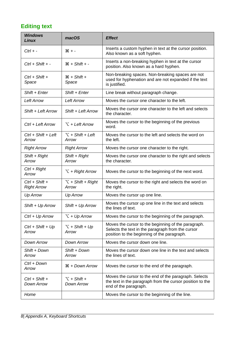# <span id="page-7-0"></span>**Editing text**

| <b>Windows</b><br>Linux                | macOS                               | <b>Effect</b>                                                                                                                                           |
|----------------------------------------|-------------------------------------|---------------------------------------------------------------------------------------------------------------------------------------------------------|
| $Ctrl + -$                             | $* -$                               | Inserts a custom hyphen in text at the cursor position.<br>Also known as a soft hyphen.                                                                 |
| $Ctrl + Shift + -$                     | $*$ + Shift + -                     | Inserts a non-breaking hyphen in text at the cursor<br>position. Also known as a hard hyphen.                                                           |
| $Ctrl + Shift +$<br>Space              | $*$ + Shift +<br>Space              | Non-breaking spaces. Non-breaking spaces are not<br>used for hyphenation and are not expanded if the text<br>is justified.                              |
| Shift + Enter                          | Shift + Enter                       | Line break without paragraph change.                                                                                                                    |
| <b>Left Arrow</b>                      | <b>Left Arrow</b>                   | Moves the cursor one character to the left.                                                                                                             |
| Shift + Left Arrow                     | Shift + Left Arrow                  | Moves the cursor one character to the left and selects<br>the character.                                                                                |
| Ctrl + Left Arrow                      | $\Upsilon$ + Left Arrow             | Moves the cursor to the beginning of the previous<br>word.                                                                                              |
| $Ctrl + Shift + Left$<br>Arrow         | $\Upsilon$ + Shift + Left<br>Arrow  | Moves the cursor to the left and selects the word on<br>the left.                                                                                       |
| <b>Right Arrow</b>                     | <b>Right Arrow</b>                  | Moves the cursor one character to the right.                                                                                                            |
| Shift + Right<br>Arrow                 | Shift + Right<br>Arrow              | Moves the cursor one character to the right and selects<br>the character.                                                                               |
| $Ctrl + Right$<br>Arrow                | $\Upsilon$ + Right Arrow            | Moves the cursor to the beginning of the next word.                                                                                                     |
| $Ctrl + Shift +$<br><b>Right Arrow</b> | $\Upsilon$ + Shift + Right<br>Arrow | Moves the cursor to the right and selects the word on<br>the right.                                                                                     |
| <b>Up Arrow</b>                        | <b>Up Arrow</b>                     | Moves the cursor up one line.                                                                                                                           |
| Shift + Up Arrow                       | Shift + Up Arrow                    | Moves the cursor up one line in the text and selects<br>the lines of text.                                                                              |
| Ctrl + Up Arrow                        | $\Upsilon$ + Up Arrow               | Moves the cursor to the beginning of the paragraph.                                                                                                     |
| $Ctrl + Shift + Up$<br>Arrow           | $\Upsilon$ + Shift + Up<br>Arrow    | Moves the cursor to the beginning of the paragraph.<br>Selects the text in the paragraph from the cursor<br>position to the beginning of the paragraph. |
| Down Arrow                             | Down Arrow                          | Moves the cursor down one line.                                                                                                                         |
| Shift + Down<br>Arrow                  | Shift + Down<br>Arrow               | Moves the cursor down one line in the text and selects<br>the lines of text.                                                                            |
| Ctrl + Down<br>Arrow                   | $\mathcal{H}$ + Down Arrow          | Moves the cursor to the end of the paragraph.                                                                                                           |
| $Ctrl + Shift +$<br><b>Down Arrow</b>  | $\Upsilon$ + Shift +<br>Down Arrow  | Moves the cursor to the end of the paragraph. Selects<br>the text in the paragraph from the cursor position to the<br>end of the paragraph.             |
| Home                                   |                                     | Moves the cursor to the beginning of the line.                                                                                                          |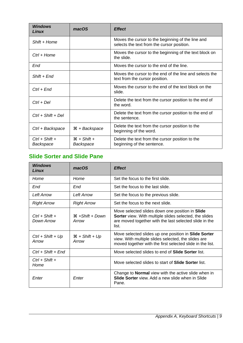| <b>Windows</b><br>Linux       | macOS                      | <b>Effect</b>                                                                                   |
|-------------------------------|----------------------------|-------------------------------------------------------------------------------------------------|
| Shift + Home                  |                            | Moves the cursor to the beginning of the line and<br>selects the text from the cursor position. |
| $Ctrl + Home$                 |                            | Moves the cursor to the beginning of the text block on<br>the slide.                            |
| End                           |                            | Moves the cursor to the end of the line.                                                        |
| $Shift + End$                 |                            | Moves the cursor to the end of the line and selects the<br>text from the cursor position.       |
| $Ctrl + End$                  |                            | Moves the cursor to the end of the text block on the<br>slide.                                  |
| $Ctrl + Del$                  |                            | Delete the text from the cursor position to the end of<br>the word.                             |
| $Ctrl + Shift + Del$          |                            | Delete the text from the cursor position to the end of<br>the sentence.                         |
| Ctrl + Backspace              | $\mathcal{H}$ + Backspace  | Delete the text from the cursor position to the<br>beginning of the word.                       |
| $Ctrl + Shift +$<br>Backspace | $*$ + Shift +<br>Backspace | Delete the text from the cursor position to the<br>beginning of the sentence.                   |

# <span id="page-8-0"></span>**Slide Sorter and Slide Pane**

| <b>Windows</b><br>Linux        | macOS                                | <b>Effect</b>                                                                                                                                                                |
|--------------------------------|--------------------------------------|------------------------------------------------------------------------------------------------------------------------------------------------------------------------------|
| Home                           | Home                                 | Set the focus to the first slide.                                                                                                                                            |
| End                            | End                                  | Set the focus to the last slide.                                                                                                                                             |
| <b>Left Arrow</b>              | Left Arrow                           | Set the focus to the previous slide.                                                                                                                                         |
| <b>Right Arrow</b>             | <b>Right Arrow</b>                   | Set the focus to the next slide.                                                                                                                                             |
| $Ctrl + Shift +$<br>Down Arrow | $\mathcal{H}$ +Shift + Down<br>Arrow | Move selected slides down one position in Slide<br>Sorter view. With multiple slides selected, the slides<br>are moved together with the last selected slide in the<br>list. |
| $Ctrl + Shift + Up$<br>Arrow   | $\mathcal{H}$ + Shift + Up<br>Arrow  | Move selected slides up one position in Slide Sorter<br>view. With multiple slides selected, the slides are<br>moved together with the first selected slide in the list.     |
| $Ctrl + Shift + End$           |                                      | Move selected slides to end of Slide Sorter list.                                                                                                                            |
| $Ctrl + Shift +$<br>Home       |                                      | Move selected slides to start of <b>Slide Sorter</b> list.                                                                                                                   |
| Enter                          | Enter                                | Change to <b>Normal</b> view with the active slide when in<br><b>Slide Sorter</b> view. Add a new slide when in Slide<br>Pane.                                               |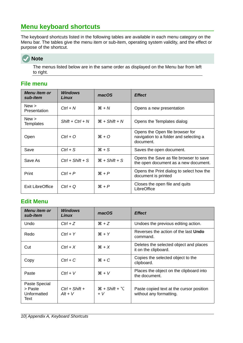# <span id="page-9-2"></span>**Menu keyboard shortcuts**

The keyboard shortcuts listed in the following tables are available in each menu category on the Menu bar. The tables give the menu item or sub-item, operating system validity, and the effect or purpose of the shortcut.



The menus listed below are in the same order as displayed on the Menu bar from left to right.

#### <span id="page-9-1"></span>**File menu**

| Menu item or<br>sub-item     | Windows<br>Linux   | macOS                     | <b>Effect</b>                                                                          |
|------------------------------|--------------------|---------------------------|----------------------------------------------------------------------------------------|
| New ><br><b>Presentation</b> | $Ctrl + N$         | $H + N$                   | Opens a new presentation                                                               |
| New ><br><b>Templates</b>    | $Shift + Crit + N$ | $H + Shift + N$           | Opens the Templates dialog                                                             |
| Open                         | $Ctrl + O$         | $*$ 0                     | Opens the Open file browser for<br>navigation to a folder and selecting a<br>document. |
| Save                         | $Ctrl + S$         | $*S$                      | Saves the open document.                                                               |
| Save As                      | $Ctrl + Shift + S$ | $\mathcal{H}$ + Shift + S | Opens the Save as file browser to save<br>the open document as a new document.         |
| Print                        | $Ctrl + P$         | $R + P$                   | Opens the Print dialog to select how the<br>document is printed                        |
| Exit LibreOffice             | $Ctrl + Q$         | $\mathcal{H} + P$         | Closes the open file and quits<br>LibreOffice                                          |

#### <span id="page-9-0"></span>**Edit Menu**

| <b>Menu</b> item or<br>sub-item                 | <b>Windows</b><br>Linux       | macOS                          | <b>Effect</b>                                                       |
|-------------------------------------------------|-------------------------------|--------------------------------|---------------------------------------------------------------------|
| Undo                                            | $Ctrl + Z$                    | $*Z$                           | Undoes the previous editing action.                                 |
| Redo                                            | $Ctrl + Y$                    | $H + Y$                        | Reverses the action of the last <b>Undo</b><br>command.             |
| Cut                                             | $Ctrl + X$                    | $*X$                           | Deletes the selected object and places<br>it on the clipboard.      |
| Copy                                            | $Ctrl + C$                    | $*C$                           | Copies the selected object to the<br>clipboard.                     |
| Paste                                           | $Ctrl + V$                    | $*V$                           | Places the object on the clipboard into<br>the document.            |
| Paste Special<br>> Paste<br>Unformatted<br>Text | $Ctrl + Shift +$<br>$Alt + V$ | $H + Shift + \Upsilon$<br>$+V$ | Paste copied text at the cursor position<br>without any formatting. |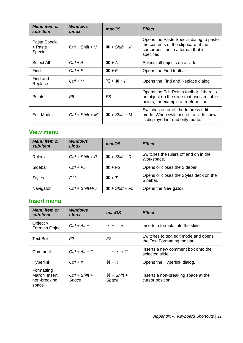| <b>Menu</b> item or<br>sub-item     | <b>Windows</b><br>Linux | macOS           | <b>Effect</b>                                                                                                                        |
|-------------------------------------|-------------------------|-----------------|--------------------------------------------------------------------------------------------------------------------------------------|
| Paste Special<br>> Paste<br>Special | $Ctrl + Shift + V$      | $H + Shift + V$ | Opens the Paste Special dialog to paste<br>the contents of the clipboard at the<br>cursor position in a format that is<br>specified. |
| Select All                          | $Ctrl + A$              | $# + A$         | Selects all objects on a slide.                                                                                                      |
| Find                                | $Ctrl + F$              | $H + F$         | Opens the Find toolbar                                                                                                               |
| Find and<br>Replace                 | $Ctrl + H$              | $T + \Re + F$   | Opens the Find and Replace dialog                                                                                                    |
| <b>Points</b>                       | F8                      | F8              | Opens the Edit Points toolbar if there is<br>an object on the slide that uses editable<br>points, for example a freeform line.       |
| Edit Mode                           | $Ctrl + Shift + M$      | $H + Shift + M$ | Switches on or off the Impress edit<br>mode. When switched off, a slide show<br>is displayed in read only mode.                      |

#### <span id="page-10-1"></span>**View menu**

| <b>Menu</b> item or<br>sub-item | <b>Windows</b><br>Linux | macOS                      | <b>Effect</b>                                       |
|---------------------------------|-------------------------|----------------------------|-----------------------------------------------------|
| <b>Rulers</b>                   | $Ctrl + Shift + R$      | $\mathcal{H}$ + Shift + R  | Switches the rulers off and on in the<br>Workspace. |
| Sidebar                         | $Ctrl + F5$             | $*F5$                      | Opens or closes the Sidebar.                        |
| <b>Styles</b>                   | F <sub>11</sub>         | $H + T$                    | Opens or closes the Styles deck on the<br>Sidebar.  |
| Navigator                       | $Ctrl + Shift + F5$     | $\mathcal{H}$ + Shift + F5 | Opens the <b>Navigator</b> .                        |

#### <span id="page-10-0"></span>**Insert menu**

| <b>Menu</b> item or<br>sub-item                      | <b>Windows</b><br>Linux   | macOS                  | <b>Effect</b>                                                        |
|------------------------------------------------------|---------------------------|------------------------|----------------------------------------------------------------------|
| Object $>$<br>Formula Object                         | $Ctrl + Alt + =$          | $T + 36 + 5$           | Inserts a formula into the slide                                     |
| <b>Text Box</b>                                      | F <sub>2</sub>            | F <sub>2</sub>         | Switches to text edit mode and opens<br>the Text Formatting toolbar. |
| Comment                                              | $Ctrl + Alt + C$          | $H + \Sigma + C$       | Inserts a new comment box onto the<br>selected slide.                |
| <b>Hyperlink</b>                                     | $Ctrl + K$                | $*K$                   | Opens the Hyperlink dialog.                                          |
| Formatting<br>Mark > Insert<br>non-breaking<br>space | $Ctrl + Shift +$<br>Space | $H + Shift +$<br>Space | Inserts a non-breaking space at the<br>cursor position.              |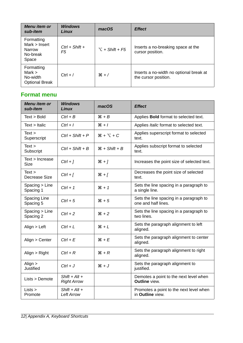| Menu item or<br>sub-item                                    | <b>Windows</b><br>Linux | macOS                   | <b>Effect</b>                                                   |
|-------------------------------------------------------------|-------------------------|-------------------------|-----------------------------------------------------------------|
| Formatting<br>Mark > Insert<br>Narrow<br>No-break<br>Space  | $Ctrl + Shift +$<br>F5  | $\Upsilon$ + Shift + F5 | Inserts a no-breaking space at the<br>cursor position.          |
| Formatting<br>Mark $>$<br>No-width<br><b>Optional Break</b> | $Ctrl + /$              | $*$ /                   | Inserts a no-width no optional break at<br>the cursor position. |

#### <span id="page-11-0"></span>**Format menu**

| Menu item or<br>sub-item                | <b>Windows</b><br>Linux               | macOS             | <b>Effect</b>                                                  |
|-----------------------------------------|---------------------------------------|-------------------|----------------------------------------------------------------|
| Text > Bold                             | $Ctrl + B$                            | $H + B$           | Applies Bold format to selected text.                          |
| $Text$ > Italic                         | $Ctrl + I$                            | $*1$              | Applies Italic format to selected text.                        |
| Text ><br>Superscript                   | $Ctrl + Shift + P$                    | $H + \Sigma + C$  | Applies superscript format to selected<br>text.                |
| Text ><br>Subscript                     | $Ctrl + Shift + B$                    | $H + Shift + B$   | Applies subscript format to selected<br>text.                  |
| Text > Increase<br><b>Size</b>          | $Ctrl + ]$                            | $*1$              | Increases the point size of selected text.                     |
| Text ><br>Decrease Size                 | $Ctrl + [$                            | $*1$              | Decreases the point size of selected<br>text.                  |
| Spacing > Line<br>Spacing 1             | $Ctrl + 1$                            | $*1$              | Sets the line spacing in a paragraph to<br>a single line.      |
| Spacing Line<br>Spacing 5               | $Ctrl + 5$                            | $*5$              | Sets the line spacing in a paragraph to<br>one and half lines. |
| S <sub>pacing</sub> > Line<br>Spacing 2 | $Ctrl + 2$                            | $*2$              | Sets the line spacing in a paragraph to<br>two lines.          |
| Align $>$ Left                          | $Ctrl + L$                            | $*L$              | Sets the paragraph alignment to left<br>aligned.               |
| Align > Center                          | $Ctrl + E$                            | $H + E$           | Sets the paragraph alignment to center<br>aligned.             |
| Align $>$ Right                         | $Ctrl + R$                            | $\mathcal{H} + R$ | Sets the paragraph alignment to right<br>aligned.              |
| Align $>$<br><b>Justified</b>           | $Ctrl + J$                            | $*J$              | Sets the paragraph alignment to<br>justified.                  |
| Lists > Demote                          | $Shift + Alt +$<br><b>Right Arrow</b> |                   | Demotes a point to the next level when<br>Outline view.        |
| Lists ><br>Promote                      | $Shift + Alt +$<br><b>Left Arrow</b>  |                   | Promotes a point to the next level when<br>in Outline view.    |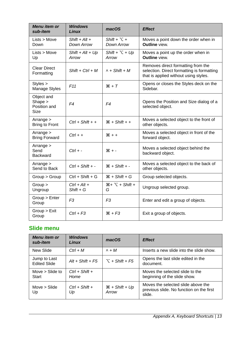| <b>Menu</b> item or<br>sub-item                        | <b>Windows</b><br>Linux       | macOS                                     | <b>Effect</b>                                                                                                             |
|--------------------------------------------------------|-------------------------------|-------------------------------------------|---------------------------------------------------------------------------------------------------------------------------|
| Lists > Move<br>Down                                   | $Shift + Alt +$<br>Down Arrow | Shift + $\Upsilon$ +<br><b>Down Arrow</b> | Moves a point down the order when in<br><b>Outline view.</b>                                                              |
| Lists > Move<br>Up                                     | $Shift + Alt + Up$<br>Arrow   | Shift + $\Upsilon$ + Up<br>Arrow          | Moves a point up the order when in<br>Outline view.                                                                       |
| <b>Clear Direct</b><br>Formatting                      | $Shift + Crit + M$            | $\wedge$ + Shift + M                      | Removes direct formatting from the<br>selection. Direct formatting is formatting<br>that is applied without using styles. |
| Styles ><br>Manage Styles                              | F11                           | $*T$                                      | Opens or closes the Styles deck on the<br>Sidebar.                                                                        |
| Object and<br>Shape $>$<br>Position and<br><b>Size</b> | F4                            | F4                                        | Opens the Position and Size dialog of a<br>selected object.                                                               |
| Arrange $>$<br><b>Bring to Front</b>                   | $Ctrl + Shift + +$            | $\mathcal{H}$ + Shift + +                 | Moves a selected object to the front of<br>other objects.                                                                 |
| Arrange $>$<br><b>Bring Forward</b>                    | $Ctrl + +$                    | $* + +$                                   | Moves a selected object in front of the<br>forward object.                                                                |
| Arrange $>$<br>Send<br><b>Backward</b>                 | $Ctrl + -$                    | $* -$                                     | Moves a selected object behind the<br>backward object.                                                                    |
| Arrange $>$<br>Send to Back                            | $Ctrl + Shift + -$            | $*$ + Shift + -                           | Moves a selected object to the back of<br>other objects.                                                                  |
| Group > Group                                          | $Ctrl + Shift + G$            | $H + Shift + G$                           | Group selected objects.                                                                                                   |
| Group ><br>Ungroup                                     | $Ctrl + Alt +$<br>$Shift + G$ | $H + \Sigma + Shift +$<br>G               | Ungroup selected group.                                                                                                   |
| Group > Enter<br>Group                                 | F <sub>3</sub>                | F <sub>3</sub>                            | Enter and edit a group of objects.                                                                                        |
| Group > Exist<br>Group                                 | $Ctrl + F3$                   | $*F3$                                     | Exit a group of objects.                                                                                                  |

# <span id="page-12-0"></span>**Slide menu**

| Menu item or<br>sub-item            | <b>Windows</b><br>Linux  | macOS                               | <b>Effect</b>                                                                            |
|-------------------------------------|--------------------------|-------------------------------------|------------------------------------------------------------------------------------------|
| New Slide                           | $Ctrl + M$               | $\wedge$ + $M$                      | Inserts a new slide into the slide show.                                                 |
| Jump to Last<br><b>Edited Slide</b> | $Alt + Shift + FS$       | $\top$ + Shift + F5                 | Opens the last slide edited in the<br>document.                                          |
| Move $>$ Slide to<br><b>Start</b>   | $Ctrl + Shift +$<br>Home |                                     | Moves the selected slide to the<br>beginning of the slide show.                          |
| Move $>$ Slide<br>Up                | $Ctrl + Shift +$<br>Up   | $\mathcal{H}$ + Shift + Up<br>Arrow | Moves the selected slide above the<br>previous slide. No function on the first<br>slide. |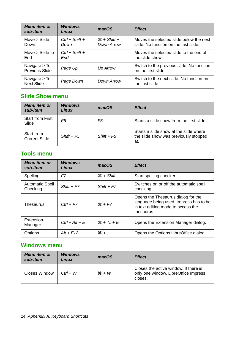| Menu item or<br>sub-item             | <b>Windows</b><br>Linux  | macOS                       | <b>Effect</b>                                                                    |
|--------------------------------------|--------------------------|-----------------------------|----------------------------------------------------------------------------------|
| Move $>$ Slide<br>Down               | $Ctrl + Shift +$<br>Down | $H + Shift +$<br>Down Arrow | Moves the selected slide below the next<br>slide. No function on the last slide. |
| Move $>$ Slide to<br>End             | $Ctrl + Shift +$<br>End  |                             | Moves the selected slide to the end of<br>the slide show.                        |
| Navigate $>$ To<br>Previous Slide    | Page Up                  | <b>Up Arrow</b>             | Switch to the previous slide. No function<br>on the first slide.                 |
| Navigate $>$ To<br><b>Next Slide</b> | Page Down                | Down Arrow                  | Switch to the next slide. No function on<br>the last slide.                      |

#### <span id="page-13-2"></span>**Slide Show menu**

| Menu item or<br>sub-item           | <b>Windows</b><br>Linux | macOS        | <b>Effect</b>                                                                          |
|------------------------------------|-------------------------|--------------|----------------------------------------------------------------------------------------|
| <b>Start from First</b><br>Slide   | F5                      | F5           | Starts a slide show from the first slide.                                              |
| Start from<br><b>Current Slide</b> | $Shift + F5$            | $Shift + F5$ | Starts a slide show at the slide where<br>the slide show was previously stopped<br>at. |

## <span id="page-13-1"></span>**Tools menu**

| Menu item or<br>sub-item           | <b>Windows</b><br>Linux | macOS                      | <b>Effect</b>                                                                                                                    |
|------------------------------------|-------------------------|----------------------------|----------------------------------------------------------------------------------------------------------------------------------|
| Spelling                           | F7                      | $\mathcal{H}$ + Shift + ;  | Start spelling checker.                                                                                                          |
| <b>Automatic Spell</b><br>Checking | $Shift + F7$            | $Shift + F7$               | Switches on or off the automatic spell<br>checking.                                                                              |
| Thesaurus                          | $Ctrl + F7$             | $# + F7$                   | Opens the Thesaurus dialog for the<br>language being used. Impress has to be<br>in text editing mode to access the<br>thesaurus. |
| Extension<br>Manager               | $Ctrl + Alt + E$        | $\mathcal{H} + \nabla + F$ | Opens the Extension Manager dialog.                                                                                              |
| Options                            | $Alt + F12$             | $\mathcal{H}$ + ,          | Opens the Options LibreOffice dialog.                                                                                            |

## <span id="page-13-0"></span>**Windows menu**

| Menu item or<br>sub-item | <b>Windows</b><br>Linux | macOS   | <b>Effect</b>                                                                            |
|--------------------------|-------------------------|---------|------------------------------------------------------------------------------------------|
| Closes Window            | $Ctrl + W$              | $*$ $W$ | Closes the active window. If there is<br>only one window, LibreOffice Impress<br>closes. |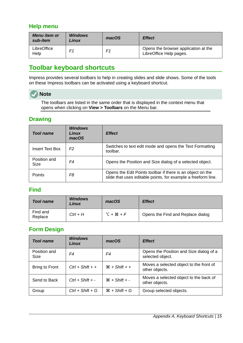#### <span id="page-14-4"></span>**Help menu**

| Menu item or<br>sub-item | <b>Windows</b><br><b>Linux</b> | macOS | <b>Effect</b>                                                   |
|--------------------------|--------------------------------|-------|-----------------------------------------------------------------|
| LibreOffice<br>Help      | F1                             | F1    | Opens the browser application at the<br>LibreOffice Help pages. |

# <span id="page-14-3"></span>**Toolbar keyboard shortcuts**

Impress provides several toolbars to help in creating slides and slide shows. Some of the tools on these Impress toolbars can be activated using a keyboard shortcut.

## **Note**

The toolbars are listed in the same order that is displayed in the context menu that opens when clicking on **View > Toolbars** on the Menu bar.

#### <span id="page-14-2"></span>**Drawing**

| <b>Tool name</b>     | <b>Windows</b><br>Linux<br>macOS | <b>Effect</b>                                                                                                               |
|----------------------|----------------------------------|-----------------------------------------------------------------------------------------------------------------------------|
| Insert Text Box      | F <sub>2</sub>                   | Switches to text edit mode and opens the Text Formatting<br>toolbar.                                                        |
| Position and<br>Size | F4                               | Opens the Position and Size dialog of a selected object.                                                                    |
| <b>Points</b>        | F8                               | Opens the Edit Points toolbar if there is an object on the<br>slide that uses editable points, for example a freeform line. |

#### <span id="page-14-1"></span>**Find**

| <b>Tool name</b>    | <b>Windows</b><br>Linux | macOS        | <b>Effect</b>                     |
|---------------------|-------------------------|--------------|-----------------------------------|
| Find and<br>Replace | $Ctrl + H$              | $T + 2B + F$ | Opens the Find and Replace dialog |

#### <span id="page-14-0"></span>**Form Design**

| <b>Tool name</b>            | <b>Windows</b><br>Linux | macOS                     | <b>Effect</b>                                               |
|-----------------------------|-------------------------|---------------------------|-------------------------------------------------------------|
| Position and<br><b>Size</b> | F4                      | F4                        | Opens the Position and Size dialog of a<br>selected object. |
| Bring to Front              | $Ctrl + Shift + +$      | $\mathcal{H}$ + Shift + + | Moves a selected object to the front of<br>other objects.   |
| Send to Back                | $Ctrl + Shift + -$      | $\mathcal{H}$ + Shift + - | Moves a selected object to the back of<br>other objects.    |
| Group                       | $Ctrl + Shift + G$      | $\mathcal{H}$ + Shift + G | Group selected objects.                                     |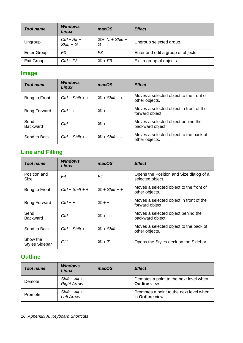| <b>Tool name</b>   | <b>Windows</b><br>Linux       | macOS                       | <b>Effect</b>                      |
|--------------------|-------------------------------|-----------------------------|------------------------------------|
| Ungroup            | $Ctrl + Alt +$<br>$Shift + G$ | $H + \Sigma + Shift +$<br>G | Ungroup selected group.            |
| <b>Enter Group</b> | F3                            | F3                          | Enter and edit a group of objects. |
| Exit Group         | $Ctrl + F3$                   | $*F3$                       | Exit a group of objects.           |

# <span id="page-15-2"></span>**Image**

| Tool name               | <b>Windows</b><br>Linux | macOS                     | <b>Effect</b>                                              |
|-------------------------|-------------------------|---------------------------|------------------------------------------------------------|
| Bring to Front          | $Ctrl + Shift + +$      | $\mathcal{H}$ + Shift + + | Moves a selected object to the front of<br>other objects.  |
| <b>Bring Forward</b>    | $Ctrl + +$              | $* + +$                   | Moves a selected object in front of the<br>forward object. |
| Send<br><b>Backward</b> | $Ctrl + -$              | $* - 36$                  | Moves a selected object behind the<br>backward object.     |
| Send to Back            | $Ctrl + Shift + -$      | $\mathcal{H}$ + Shift + - | Moves a selected object to the back of<br>other objects.   |

# <span id="page-15-1"></span>**Line and Filling**

| <b>Tool name</b>                  | <b>Windows</b><br>Linux | macOS           | <b>Effect</b>                                               |
|-----------------------------------|-------------------------|-----------------|-------------------------------------------------------------|
| Position and<br><b>Size</b>       | F4                      | F4              | Opens the Position and Size dialog of a<br>selected object. |
| <b>Bring to Front</b>             | $Ctrl + Shift + +$      | $H + Shift + +$ | Moves a selected object to the front of<br>other objects.   |
| <b>Bring Forward</b>              | $Ctrl + +$              | $# + +$         | Moves a selected object in front of the<br>forward object.  |
| Send<br><b>Backward</b>           | $Ctrl + -$              | $* -$           | Moves a selected object behind the<br>backward object.      |
| Send to Back                      | $Ctrl + Shift + -$      | $H + Shift + -$ | Moves a selected object to the back of<br>other objects.    |
| Show the<br><b>Styles Sidebar</b> | F11                     | $H + T$         | Opens the Styles deck on the Sidebar.                       |

## <span id="page-15-0"></span>**Outline**

| <b>Tool name</b> | <b>Windows</b><br>Linux               | macOS | <b>Effect</b>                                                      |
|------------------|---------------------------------------|-------|--------------------------------------------------------------------|
| Demote           | $Shift + Alt +$<br><b>Right Arrow</b> |       | Demotes a point to the next level when<br><b>Outline</b> view.     |
| Promote          | $Shift + Alt +$<br>Left Arrow         |       | Promotes a point to the next level when<br>in <b>Outline</b> view. |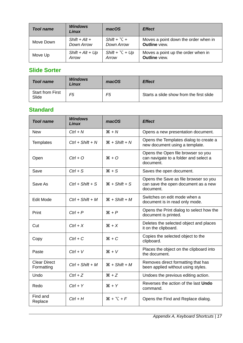| <b>Tool name</b> | <b>Windows</b><br>Linux | macOS                   | <b>Effect</b>                        |
|------------------|-------------------------|-------------------------|--------------------------------------|
| Move Down        | $Shift + Alt +$         | Shift + $\Upsilon$ +    | Moves a point down the order when in |
|                  | Down Arrow              | Down Arrow              | <b>Outline</b> view.                 |
| Move Up          | Shift + $Alt + Up$      | Shift + $\Upsilon$ + Up | Moves a point up the order when in   |
|                  | Arrow                   | Arrow                   | <b>Outline</b> view.                 |

#### <span id="page-16-1"></span>**Slide Sorter**

| <b>Tool name</b>                 | <b>Windows</b><br>Linux | macOS | <b>Effect</b>                            |
|----------------------------------|-------------------------|-------|------------------------------------------|
| <b>Start from First</b><br>Slide | F5                      | F5    | Starts a slide show from the first slide |

#### <span id="page-16-0"></span>**Standard**

| <b>Tool name</b>                  | <b>Windows</b><br>Linux | macOS                     | <b>Effect</b>                                                                             |
|-----------------------------------|-------------------------|---------------------------|-------------------------------------------------------------------------------------------|
| <b>New</b>                        | $Ctrl + N$              | $H + N$                   | Opens a new presentation document.                                                        |
| Templates                         | $Ctrl + Shift + N$      | $\mathcal{H}$ + Shift + N | Opens the Templates dialog to create a<br>new document using a template.                  |
| Open                              | $Ctrl + O$              | $*$ 0                     | Opens the Open file browser so you<br>can navigate to a folder and select a<br>document.  |
| Save                              | $Ctrl + S$              | $*S$                      | Saves the open document.                                                                  |
| Save As                           | $Ctrl + Shift + S$      | $*$ + Shift + S           | Opens the Save as file browser so you<br>can save the open document as a new<br>document. |
| <b>Edit Mode</b>                  | $Ctrl + Shift + M$      | $H + Shift + M$           | Switches on edit mode when a<br>document is in read only mode.                            |
| Print                             | $Ctrl + P$              | $\mathcal{H} + P$         | Opens the Print dialog to select how the<br>document is printed.                          |
| Cut                               | $Ctrl + X$              | $*X$                      | Deletes the selected object and places<br>it on the clipboard.                            |
| Copy                              | $Ctrl + C$              | $*C$                      | Copies the selected object to the<br>clipboard.                                           |
| Paste                             | $Ctrl + V$              | $*V$                      | Places the object on the clipboard into<br>the document.                                  |
| <b>Clear Direct</b><br>Formatting | $Ctrl + Shift + M$      | $H + Shift + M$           | Removes direct formatting that has<br>been applied without using styles.                  |
| Undo                              | $Ctrl + Z$              | $*Z$                      | Undoes the previous editing action.                                                       |
| Redo                              | $Ctrl + Y$              | $H + Y$                   | Reverses the action of the last <b>Undo</b><br>command.                                   |
| Find and<br>Replace               | $Ctrl + H$              | $# + \top + F$            | Opens the Find and Replace dialog.                                                        |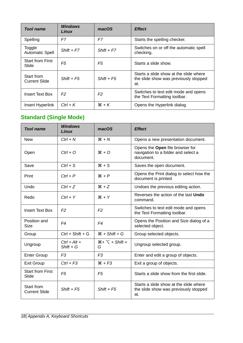| <b>Tool name</b>                   | <b>Windows</b><br>Linux | macOS          | <b>Effect</b>                                                                          |
|------------------------------------|-------------------------|----------------|----------------------------------------------------------------------------------------|
| Spelling                           | F7                      | F7             | Starts the spelling checker.                                                           |
| Toggle<br><b>Automatic Spell</b>   | $Shift + F7$            | $Shift + F7$   | Switches on or off the automatic spell<br>checking.                                    |
| <b>Start from First</b><br>Slide   | F5                      | F5             | Starts a slide show.                                                                   |
| Start from<br><b>Current Slide</b> | $Shift + F5$            | $Shift + F5$   | Starts a slide show at the slide where<br>the slide show was previously stopped<br>at. |
| <b>Insert Text Box</b>             | F <sub>2</sub>          | F <sub>2</sub> | Switches to text edit mode and opens<br>the Text Formatting toolbar.                   |
| Insert Hyperlink                   | $Ctrl + K$              | $H + K$        | Opens the Hyperlink dialog.                                                            |

# <span id="page-17-0"></span>**Standard (Single Mode)**

| <b>Tool name</b>                   | <b>Windows</b><br>Linux       | macOS                       | <b>Effect</b>                                                                          |
|------------------------------------|-------------------------------|-----------------------------|----------------------------------------------------------------------------------------|
| <b>New</b>                         | $Ctrl + N$                    | $H + N$                     | Opens a new presentation document.                                                     |
| Open                               | $Ctrl + O$                    | $*$ 0                       | Opens the Open file browser for<br>navigation to a folder and select a<br>document.    |
| Save                               | $Ctrl + S$                    | $*S$                        | Saves the open document.                                                               |
| Print                              | $Ctrl + P$                    | $H + P$                     | Opens the Print dialog to select how the<br>document is printed                        |
| Undo                               | $Ctrl + Z$                    | $*Z$                        | Undoes the previous editing action.                                                    |
| Redo                               | $Ctrl + Y$                    | $*Y$                        | Reverses the action of the last <b>Undo</b><br>command.                                |
| <b>Insert Text Box</b>             | F <sub>2</sub>                | F <sub>2</sub>              | Switches to text edit mode and opens<br>the Text Formatting toolbar.                   |
| Position and<br><b>Size</b>        | F4                            | F4                          | Opens the Position and Size dialog of a<br>selected object.                            |
| Group                              | $Ctrl + Shift + G$            | $H + Shift + G$             | Group selected objects.                                                                |
| Ungroup                            | $Ctrl + Alt +$<br>$Shift + G$ | $H + \Sigma + Shift +$<br>G | Ungroup selected group.                                                                |
| <b>Enter Group</b>                 | F <sub>3</sub>                | F <sub>3</sub>              | Enter and edit a group of objects.                                                     |
| <b>Exit Group</b>                  | $Ctrl + F3$                   | $*F3$                       | Exit a group of objects.                                                               |
| <b>Start from First</b><br>Slide   | F <sub>5</sub>                | F <sub>5</sub>              | Starts a slide show from the first slide.                                              |
| Start from<br><b>Current Slide</b> | $Shift + F5$                  | $Shift + F5$                | Starts a slide show at the slide where<br>the slide show was previously stopped<br>at. |